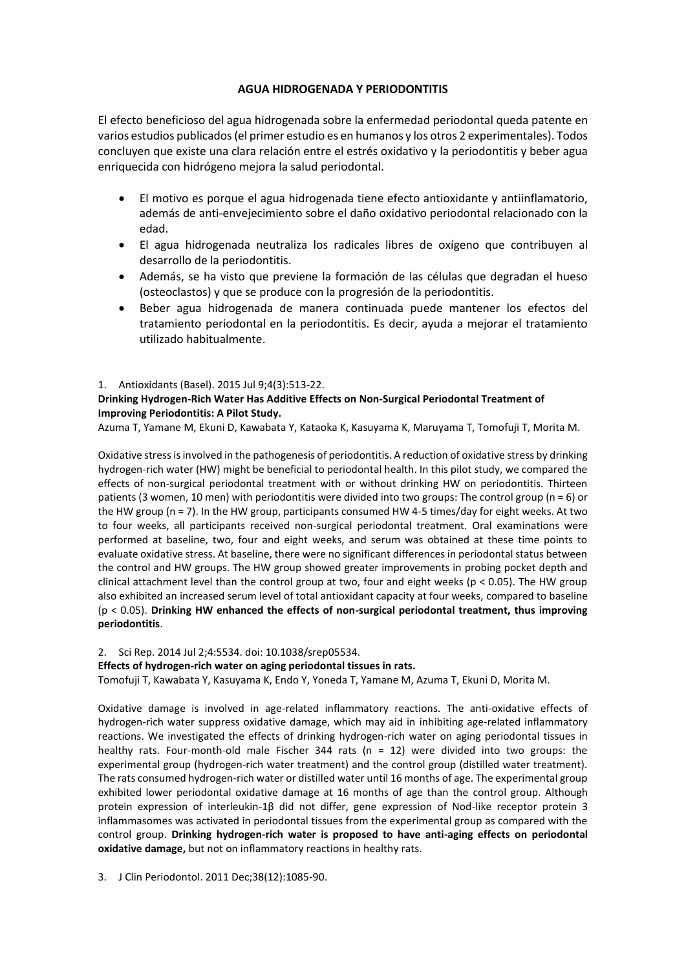# **AGUA HIDROGENADA Y PERIODONTITIS**

El efecto beneficioso del agua hidrogenada sobre la enfermedad periodontal queda patente en varios estudios publicados (el primer estudio es en humanos y los otros 2 experimentales). Todos concluyen que existe una clara relación entre el estrés oxidativo y la periodontitis y beber agua enriquecida con hidrógeno mejora la salud periodontal.

- El motivo es porque el agua hidrogenada tiene efecto antioxidante y antiinflamatorio, además de anti-envejecimiento sobre el daño oxidativo periodontal relacionado con la edad.
- El agua hidrogenada neutraliza los radicales libres de oxígeno que contribuyen al desarrollo de la periodontitis.
- Además, se ha visto que previene la formación de las células que degradan el hueso (osteoclastos) y que se produce con la progresión de la periodontitis.
- Beber agua hidrogenada de manera continuada puede mantener los efectos del tratamiento periodontal en la periodontitis. Es decir, ayuda a mejorar el tratamiento utilizado habitualmente.

#### 1. Antioxidants (Basel). 2015 Jul 9;4(3):513-22.

## **Drinking Hydrogen-Rich Water Has Additive Effects on Non-Surgical Periodontal Treatment of Improving Periodontitis: A Pilot Study.**

Azuma T, Yamane M, Ekuni D, Kawabata Y, Kataoka K, Kasuyama K, Maruyama T, Tomofuji T, Morita M.

Oxidative stress is involved in the pathogenesis of periodontitis. A reduction of oxidative stress by drinking hydrogen-rich water (HW) might be beneficial to periodontal health. In this pilot study, we compared the effects of non-surgical periodontal treatment with or without drinking HW on periodontitis. Thirteen patients (3 women, 10 men) with periodontitis were divided into two groups: The control group (n = 6) or the HW group (n = 7). In the HW group, participants consumed HW 4-5 times/day for eight weeks. At two to four weeks, all participants received non-surgical periodontal treatment. Oral examinations were performed at baseline, two, four and eight weeks, and serum was obtained at these time points to evaluate oxidative stress. At baseline, there were no significant differences in periodontal status between the control and HW groups. The HW group showed greater improvements in probing pocket depth and clinical attachment level than the control group at two, four and eight weeks ( $p < 0.05$ ). The HW group also exhibited an increased serum level of total antioxidant capacity at four weeks, compared to baseline (p < 0.05). **Drinking HW enhanced the effects of non-surgical periodontal treatment, thus improving periodontitis**.

## 2. Sci Rep. 2014 Jul 2;4:5534. doi: 10.1038/srep05534.

## **Effects of hydrogen-rich water on aging periodontal tissues in rats.**

Tomofuji T, Kawabata Y, Kasuyama K, Endo Y, Yoneda T, Yamane M, Azuma T, Ekuni D, Morita M.

Oxidative damage is involved in age-related inflammatory reactions. The anti-oxidative effects of hydrogen-rich water suppress oxidative damage, which may aid in inhibiting age-related inflammatory reactions. We investigated the effects of drinking hydrogen-rich water on aging periodontal tissues in healthy rats. Four-month-old male Fischer 344 rats (n = 12) were divided into two groups: the experimental group (hydrogen-rich water treatment) and the control group (distilled water treatment). The rats consumed hydrogen-rich water or distilled water until 16 months of age. The experimental group exhibited lower periodontal oxidative damage at 16 months of age than the control group. Although protein expression of interleukin-1β did not differ, gene expression of Nod-like receptor protein 3 inflammasomes was activated in periodontal tissues from the experimental group as compared with the control group. **Drinking hydrogen-rich water is proposed to have anti-aging effects on periodontal oxidative damage,** but not on inflammatory reactions in healthy rats.

3. J Clin Periodontol. 2011 Dec;38(12):1085-90.